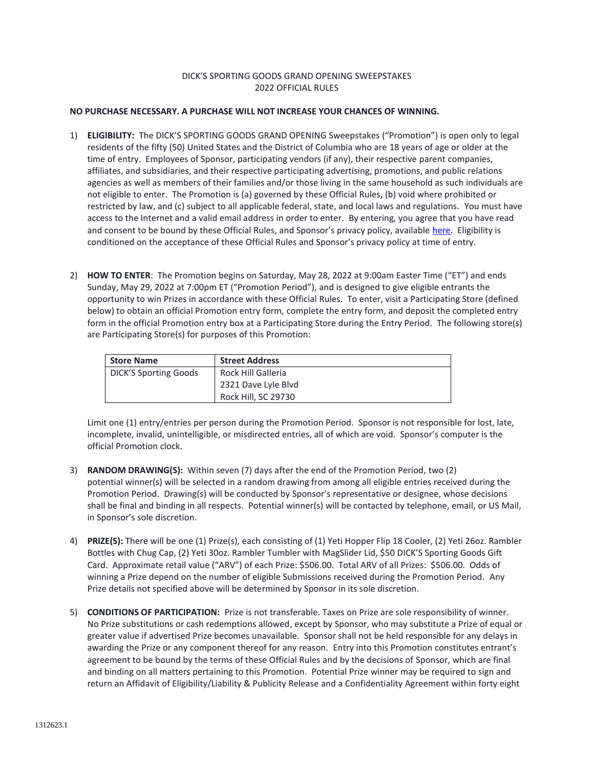## DICK'S SPORTING GOODS GRAND OPENING SWEEPSTAKES 2022 OFFICIAL RULES

## **NO PURCHASE NECESSARY. A PURCHASE WILL NOT INCREASE YOUR CHANCES OF WINNING.**

- 1) **ELIGIBILITY:** The DICK'S SPORTING GOODS GRAND OPENING Sweepstakes ("Promotion") is open only to legal residents of the fifty (50) United States and the District of Columbia who are 18 years of age or older at the time of entry. Employees of Sponsor, participating vendors (if any), their respective parent companies, affiliates, and subsidiaries, and their respective participating advertising, promotions, and public relations agencies as well as members of their families and/or those living in the same household as such individuals are not eligible to enter. The Promotion is (a) governed by these Official Rules, (b) void where prohibited or restricted by law, and (c) subject to all applicable federal, state, and local laws and regulations. You must have access to the Internet and a valid email address in order to enter. By entering, you agree that you have read and consent to be bound by these Official Rules, and Sponsor's privacy policy, available [here.](https://www.dickssportinggoods.com/s/privacy-policy) Eligibility is conditioned on the acceptance of these Official Rules and Sponsor's privacy policy at time of entry.
- 2) **HOW TO ENTER**: The Promotion begins on Saturday, May 28, 2022 at 9:00am Easter Time ("ET") and ends Sunday, May 29, 2022 at 7:00pm ET ("Promotion Period"), and is designed to give eligible entrants the opportunity to win Prizes in accordance with these Official Rules. To enter, visit a Participating Store (defined below) to obtain an official Promotion entry form, complete the entry form, and deposit the completed entry form in the official Promotion entry box at a Participating Store during the Entry Period. The following store(s) are Participating Store(s) for purposes of this Promotion:

| <b>Store Name</b>            | <b>Street Address</b> |
|------------------------------|-----------------------|
| <b>DICK'S Sporting Goods</b> | Rock Hill Galleria    |
|                              | 2321 Dave Lyle Blyd   |
|                              | Rock Hill, SC 29730   |

Limit one (1) entry/entries per person during the Promotion Period. Sponsor is not responsible for lost, late, incomplete, invalid, unintelligible, or misdirected entries, all of which are void. Sponsor's computer is the official Promotion clock.

- 3) **RANDOM DRAWING(S):** Within seven (7) days after the end of the Promotion Period, two (2) potential winner(s) will be selected in a random drawing from among all eligible entries received during the Promotion Period. Drawing(s) will be conducted by Sponsor's representative or designee, whose decisions shall be final and binding in all respects. Potential winner(s) will be contacted by telephone, email, or US Mail, in Sponsor's sole discretion.
- 4) **PRIZE(S):** There will be one (1) Prize(s), each consisting of (1) Yeti Hopper Flip 18 Cooler, (2) Yeti 26oz. Rambler Bottles with Chug Cap, (2) Yeti 30oz. Rambler Tumbler with MagSlider Lid, \$50 DICK'S Sporting Goods Gift Card. Approximate retail value ("ARV") of each Prize: \$506.00. Total ARV of all Prizes: \$506.00. Odds of winning a Prize depend on the number of eligible Submissions received during the Promotion Period. Any Prize details not specified above will be determined by Sponsor in its sole discretion.
- 5) **CONDITIONS OF PARTICIPATION:** Prize is not transferable. Taxes on Prize are sole responsibility of winner. No Prize substitutions or cash redemptions allowed, except by Sponsor, who may substitute a Prize of equal or greater value if advertised Prize becomes unavailable. Sponsor shall not be held responsible for any delays in awarding the Prize or any component thereof for any reason. Entry into this Promotion constitutes entrant's agreement to be bound by the terms of these Official Rules and by the decisions of Sponsor, which are final and binding on all matters pertaining to this Promotion. Potential Prize winner may be required to sign and return an Affidavit of Eligibility/Liability & Publicity Release and a Confidentiality Agreement within forty eight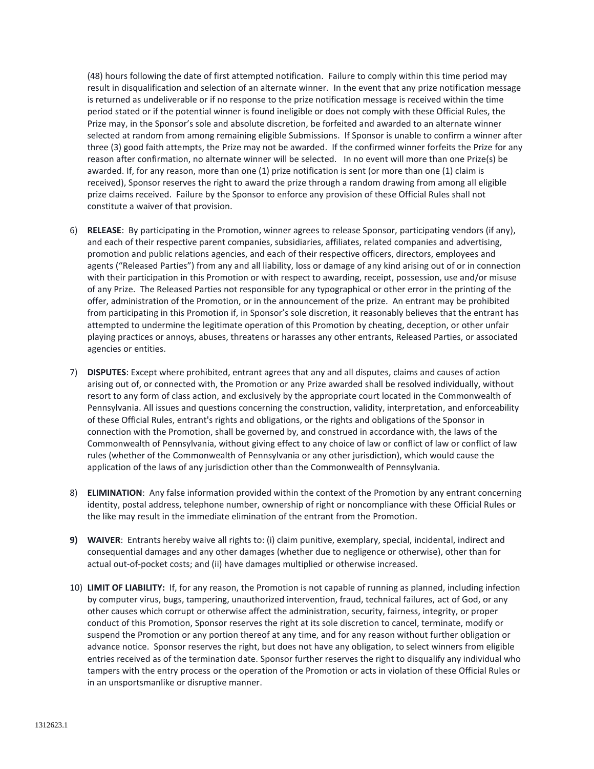(48) hours following the date of first attempted notification. Failure to comply within this time period may result in disqualification and selection of an alternate winner. In the event that any prize notification message is returned as undeliverable or if no response to the prize notification message is received within the time period stated or if the potential winner is found ineligible or does not comply with these Official Rules, the Prize may, in the Sponsor's sole and absolute discretion, be forfeited and awarded to an alternate winner selected at random from among remaining eligible Submissions. If Sponsor is unable to confirm a winner after three (3) good faith attempts, the Prize may not be awarded. If the confirmed winner forfeits the Prize for any reason after confirmation, no alternate winner will be selected. In no event will more than one Prize(s) be awarded. If, for any reason, more than one (1) prize notification is sent (or more than one (1) claim is received), Sponsor reserves the right to award the prize through a random drawing from among all eligible prize claims received. Failure by the Sponsor to enforce any provision of these Official Rules shall not constitute a waiver of that provision.

- 6) **RELEASE**: By participating in the Promotion, winner agrees to release Sponsor, participating vendors (if any), and each of their respective parent companies, subsidiaries, affiliates, related companies and advertising, promotion and public relations agencies, and each of their respective officers, directors, employees and agents ("Released Parties") from any and all liability, loss or damage of any kind arising out of or in connection with their participation in this Promotion or with respect to awarding, receipt, possession, use and/or misuse of any Prize. The Released Parties not responsible for any typographical or other error in the printing of the offer, administration of the Promotion, or in the announcement of the prize. An entrant may be prohibited from participating in this Promotion if, in Sponsor's sole discretion, it reasonably believes that the entrant has attempted to undermine the legitimate operation of this Promotion by cheating, deception, or other unfair playing practices or annoys, abuses, threatens or harasses any other entrants, Released Parties, or associated agencies or entities.
- 7) **DISPUTES**: Except where prohibited, entrant agrees that any and all disputes, claims and causes of action arising out of, or connected with, the Promotion or any Prize awarded shall be resolved individually, without resort to any form of class action, and exclusively by the appropriate court located in the Commonwealth of Pennsylvania. All issues and questions concerning the construction, validity, interpretation, and enforceability of these Official Rules, entrant's rights and obligations, or the rights and obligations of the Sponsor in connection with the Promotion, shall be governed by, and construed in accordance with, the laws of the Commonwealth of Pennsylvania, without giving effect to any choice of law or conflict of law or conflict of law rules (whether of the Commonwealth of Pennsylvania or any other jurisdiction), which would cause the application of the laws of any jurisdiction other than the Commonwealth of Pennsylvania.
- 8) **ELIMINATION**: Any false information provided within the context of the Promotion by any entrant concerning identity, postal address, telephone number, ownership of right or noncompliance with these Official Rules or the like may result in the immediate elimination of the entrant from the Promotion.
- **9) WAIVER**: Entrants hereby waive all rights to: (i) claim punitive, exemplary, special, incidental, indirect and consequential damages and any other damages (whether due to negligence or otherwise), other than for actual out-of-pocket costs; and (ii) have damages multiplied or otherwise increased.
- 10) **LIMIT OF LIABILITY:** If, for any reason, the Promotion is not capable of running as planned, including infection by computer virus, bugs, tampering, unauthorized intervention, fraud, technical failures, act of God, or any other causes which corrupt or otherwise affect the administration, security, fairness, integrity, or proper conduct of this Promotion, Sponsor reserves the right at its sole discretion to cancel, terminate, modify or suspend the Promotion or any portion thereof at any time, and for any reason without further obligation or advance notice. Sponsor reserves the right, but does not have any obligation, to select winners from eligible entries received as of the termination date. Sponsor further reserves the right to disqualify any individual who tampers with the entry process or the operation of the Promotion or acts in violation of these Official Rules or in an unsportsmanlike or disruptive manner.